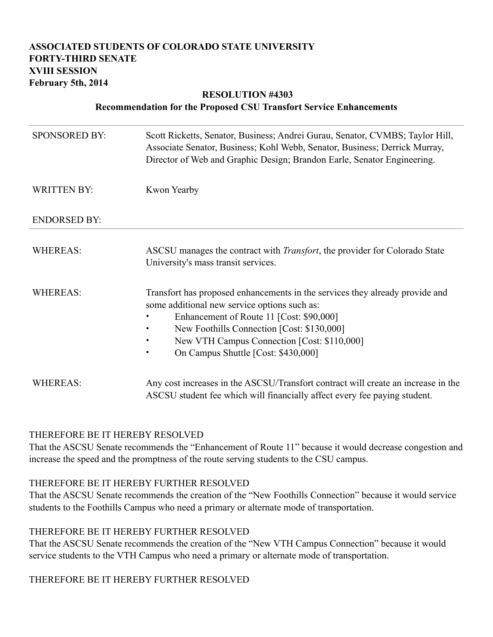## **ASSOCIATED STUDENTS OF COLORADO STATE UNIVERSITY FORTY-THIRD SENATE XVIII SESSION February 5th, 2014**

# **RESOLUTION #4303**

#### **Recommendation for the Proposed CSU Transfort Service Enhancements**

| <b>SPONSORED BY:</b> | Scott Ricketts, Senator, Business; Andrei Gurau, Senator, CVMBS; Taylor Hill,<br>Associate Senator, Business; Kohl Webb, Senator, Business; Derrick Murray,<br>Director of Web and Graphic Design; Brandon Earle, Senator Engineering.                                                                                    |
|----------------------|---------------------------------------------------------------------------------------------------------------------------------------------------------------------------------------------------------------------------------------------------------------------------------------------------------------------------|
| <b>WRITTEN BY:</b>   | Kwon Yearby                                                                                                                                                                                                                                                                                                               |
| <b>ENDORSED BY:</b>  |                                                                                                                                                                                                                                                                                                                           |
| <b>WHEREAS:</b>      | ASCSU manages the contract with <i>Transfort</i> , the provider for Colorado State<br>University's mass transit services.                                                                                                                                                                                                 |
| <b>WHEREAS:</b>      | Transfort has proposed enhancements in the services they already provide and<br>some additional new service options such as:<br>Enhancement of Route 11 [Cost: \$90,000]<br>New Foothills Connection [Cost: \$130,000]<br>New VTH Campus Connection [Cost: \$110,000]<br>On Campus Shuttle [Cost: \$430,000]<br>$\bullet$ |
| <b>WHEREAS:</b>      | Any cost increases in the ASCSU/Transfort contract will create an increase in the<br>ASCSU student fee which will financially affect every fee paying student.                                                                                                                                                            |

#### THEREFORE BE IT HEREBY RESOLVED

That the ASCSU Senate recommends the "Enhancement of Route 11" because it would decrease congestion and increase the speed and the promptness of the route serving students to the CSU campus.

#### THEREFORE BE IT HEREBY FURTHER RESOLVED

That the ASCSU Senate recommends the creation of the "New Foothills Connection" because it would service students to the Foothills Campus who need a primary or alternate mode of transportation.

#### THEREFORE BE IT HEREBY FURTHER RESOLVED

That the ASCSU Senate recommends the creation of the "New VTH Campus Connection" because it would service students to the VTH Campus who need a primary or alternate mode of transportation.

## THEREFORE BE IT HEREBY FURTHER RESOLVED